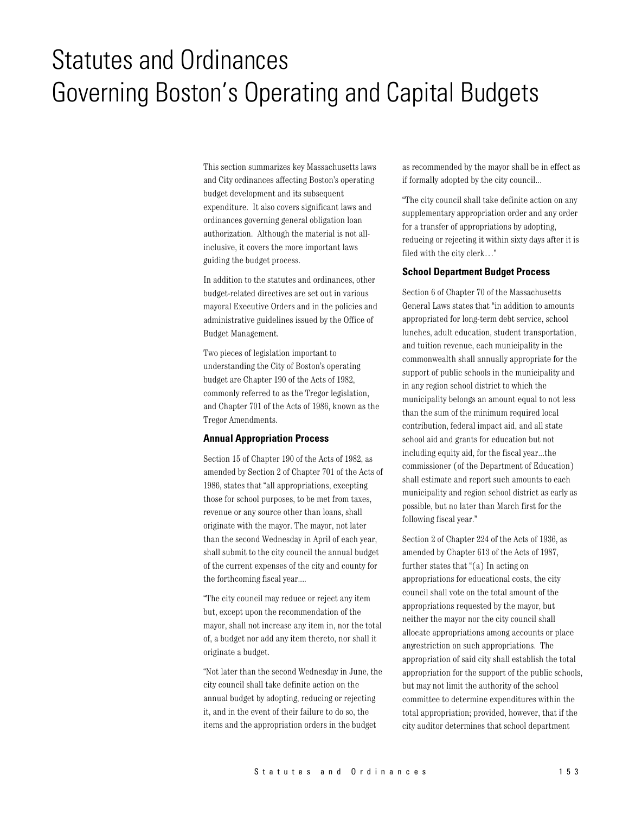# **Statutes and Ordinances** Governing Boston's Operating and Capital Budgets

This section summarizes key Massachusetts laws and City ordinances affecting Boston's operating budget development and its subsequent expenditure. It also covers significant laws and ordinances governing general obligation loan authorization. Although the material is not allinclusive, it covers the more important laws guiding the budget process.

In addition to the statutes and ordinances, other budget-related directives are set out in various mayoral Executive Orders and in the policies and administrative guidelines issued by the Office of Budget Management.

Two pieces of legislation important to understanding the City of Boston's operating budget are Chapter 190 of the Acts of 1982, commonly referred to as the Tregor legislation, and Chapter 701 of the Acts of 1986, known as the Tregor Amendments.

## **Annual Appropriation Process**

Section 15 of Chapter 190 of the Acts of 1982, as amended by Section 2 of Chapter 701 of the Acts of 1986, states that "all appropriations, excepting those for school purposes, to be met from taxes, revenue or any source other than loans, shall originate with the mayor. The mayor, not later than the second Wednesday in April of each year, shall submit to the city council the annual budget of the current expenses of the city and county for the forthcoming fiscal year....

"The city council may reduce or reject any item but, except upon the recommendation of the mayor, shall not increase any item in, nor the total of, a budget nor add any item thereto, nor shall it originate a budget.

"Not later than the second Wednesday in June, the city council shall take definite action on the annual budget by adopting, reducing or rejecting it, and in the event of their failure to do so, the items and the appropriation orders in the budget

as recommended by the mayor shall be in effect as if formally adopted by the city council...

"The city council shall take definite action on any supplementary appropriation order and any order for a transfer of appropriations by adopting, reducing or rejecting it within sixty days after it is filed with the city clerk..."

## **School Department Budget Process**

Section 6 of Chapter 70 of the Massachusetts General Laws states that "in addition to amounts appropriated for long-term debt service, school lunches, adult education, student transportation, and tuition revenue, each municipality in the commonwealth shall annually appropriate for the support of public schools in the municipality and in any region school district to which the municipality belongs an amount equal to not less than the sum of the minimum required local contribution, federal impact aid, and all state school aid and grants for education but not including equity aid, for the fiscal year...the commissioner (of the Department of Education) shall estimate and report such amounts to each municipality and region school district as early as possible, but no later than March first for the following fiscal year."

Section 2 of Chapter 224 of the Acts of 1936, as amended by Chapter 613 of the Acts of 1987, further states that " $(a)$  In acting on appropriations for educational costs, the city council shall vote on the total amount of the appropriations requested by the mayor, but neither the mayor nor the city council shall allocate appropriations among accounts or place any estriction on such appropriations. The appropriation of said city shall establish the total appropriation for the support of the public schools, but may not limit the authority of the school committee to determine expenditures within the total appropriation; provided, however, that if the city auditor determines that school department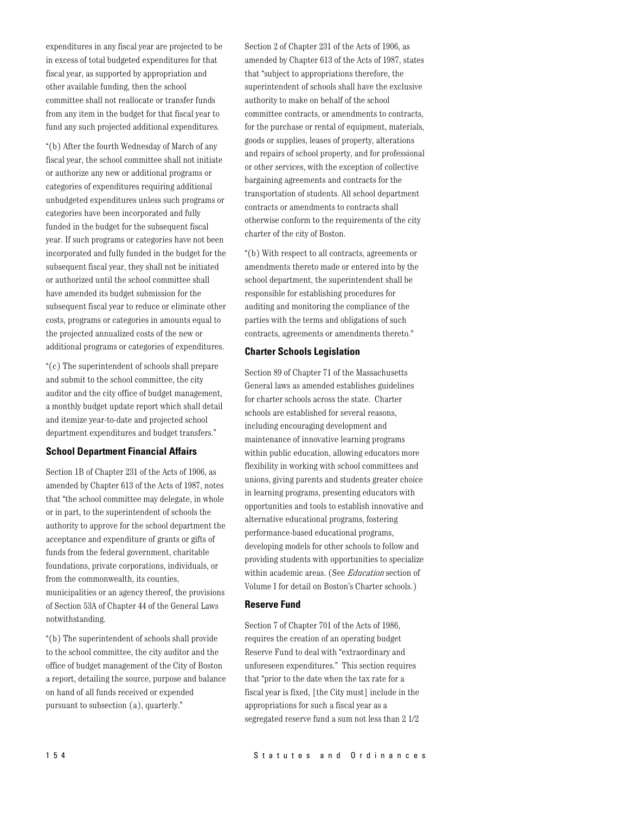expenditures in any fiscal year are projected to be in excess of total budgeted expenditures for that fiscal year, as supported by appropriation and other available funding, then the school committee shall not reallocate or transfer funds from any item in the budget for that fiscal year to fund any such projected additional expenditures.

"(b) After the fourth Wednesday of March of any fiscal year, the school committee shall not initiate or authorize any new or additional programs or categories of expenditures requiring additional unbudgeted expenditures unless such programs or categories have been incorporated and fully funded in the budget for the subsequent fiscal year. If such programs or categories have not been incorporated and fully funded in the budget for the subsequent fiscal year, they shall not be initiated or authorized until the school committee shall have amended its budget submission for the subsequent fiscal year to reduce or eliminate other costs, programs or categories in amounts equal to the projected annualized costs of the new or additional programs or categories of expenditures.

"(c) The superintendent of schools shall prepare and submit to the school committee, the city auditor and the city office of budget management, a monthly budget update report which shall detail and itemize year-to-date and projected school department expenditures and budget transfers."

## **School Department Financial Affairs**

Section 1B of Chapter 231 of the Acts of 1906, as amended by Chapter 613 of the Acts of 1987, notes that "the school committee may delegate, in whole or in part, to the superintendent of schools the authority to approve for the school department the acceptance and expenditure of grants or gifts of funds from the federal government, charitable foundations, private corporations, individuals, or from the commonwealth, its counties, municipalities or an agency thereof, the provisions of Section 53A of Chapter 44 of the General Laws notwithstanding.

"(b) The superintendent of schools shall provide to the school committee, the city auditor and the office of budget management of the City of Boston a report, detailing the source, purpose and balance on hand of all funds received or expended pursuant to subsection (a), quarterly."

Section 2 of Chapter 231 of the Acts of 1906, as amended by Chapter 613 of the Acts of 1987, states that "subject to appropriations therefore, the superintendent of schools shall have the exclusive authority to make on behalf of the school committee contracts, or amendments to contracts, for the purchase or rental of equipment, materials, goods or supplies, leases of property, alterations and repairs of school property, and for professional or other services, with the exception of collective bargaining agreements and contracts for the transportation of students. All school department contracts or amendments to contracts shall otherwise conform to the requirements of the city charter of the city of Boston.

"(b) With respect to all contracts, agreements or amendments thereto made or entered into by the school department, the superintendent shall be responsible for establishing procedures for auditing and monitoring the compliance of the parties with the terms and obligations of such contracts, agreements or amendments thereto."

#### **Charter Schools Legislation**

Section 89 of Chapter 71 of the Massachusetts General laws as amended establishes guidelines for charter schools across the state. Charter schools are established for several reasons, including encouraging development and maintenance of innovative learning programs within public education, allowing educators more flexibility in working with school committees and unions, giving parents and students greater choice in learning programs, presenting educators with opportunities and tools to establish innovative and alternative educational programs, fostering performance-based educational programs, developing models for other schools to follow and providing students with opportunities to specialize within academic areas. (See *Education* section of Volume I for detail on Boston's Charter schools.)

#### **Reserve Fund**

Section 7 of Chapter 701 of the Acts of 1986, requires the creation of an operating budget Reserve Fund to deal with "extraordinary and unforeseen expenditures." This section requires that "prior to the date when the tax rate for a fiscal year is fixed, [the City must] include in the appropriations for such a fiscal year as a segregated reserve fund a sum not less than 2 1/2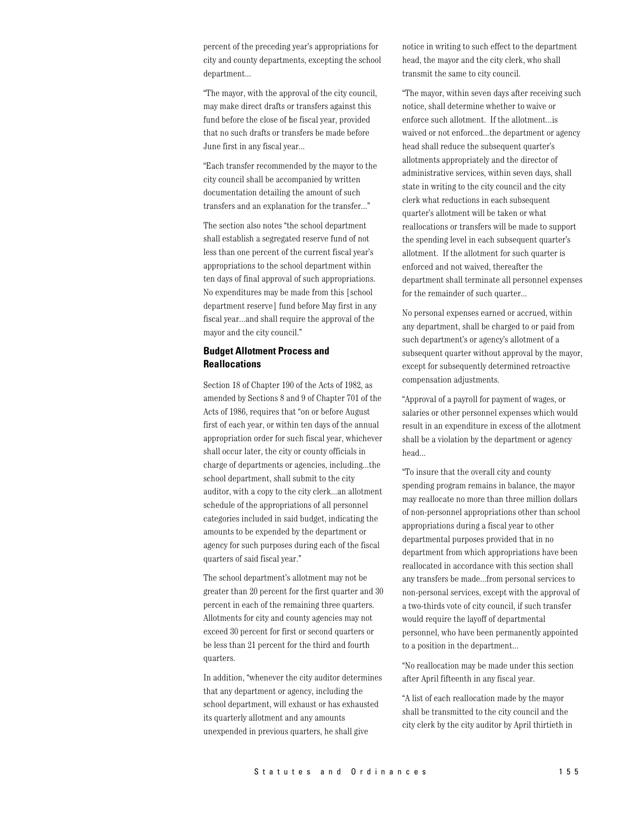percent of the preceding year's appropriations for city and county departments, excepting the school department...

"The mayor, with the approval of the city council, may make direct drafts or transfers against this fund before the close of he fiscal year, provided that no such drafts or transfers be made before June first in any fiscal year...

"Each transfer recommended by the mayor to the city council shall be accompanied by written documentation detailing the amount of such transfers and an explanation for the transfer..."

The section also notes "the school department shall establish a segregated reserve fund of not less than one percent of the current fiscal year's appropriations to the school department within ten days of final approval of such appropriations. No expenditures may be made from this [school] department reserve] fund before May first in any fiscal year...and shall require the approval of the mayor and the city council."

# **Budget Allotment Process and Reallocations**

Section 18 of Chapter 190 of the Acts of 1982, as amended by Sections 8 and 9 of Chapter 701 of the Acts of 1986, requires that "on or before August first of each year, or within ten days of the annual appropriation order for such fiscal year, whichever shall occur later, the city or county officials in charge of departments or agencies, including...the school department, shall submit to the city auditor, with a copy to the city clerk...an allotment schedule of the appropriations of all personnel categories included in said budget, indicating the amounts to be expended by the department or agency for such purposes during each of the fiscal quarters of said fiscal year."

The school department's allotment may not be greater than 20 percent for the first quarter and 30 percent in each of the remaining three quarters. Allotments for city and county agencies may not exceed 30 percent for first or second quarters or be less than 21 percent for the third and fourth quarters.

In addition, "whenever the city auditor determines that any department or agency, including the school department, will exhaust or has exhausted its quarterly allotment and any amounts unexpended in previous quarters, he shall give

notice in writing to such effect to the department head, the mayor and the city clerk, who shall transmit the same to city council.

"The mayor, within seven days after receiving such notice, shall determine whether to waive or enforce such allotment. If the allotment...is waived or not enforced...the department or agency head shall reduce the subsequent quarter's allotments appropriately and the director of administrative services, within seven days, shall state in writing to the city council and the city clerk what reductions in each subsequent quarter's allotment will be taken or what reallocations or transfers will be made to support the spending level in each subsequent quarter's allotment. If the allotment for such quarter is enforced and not waived, thereafter the department shall terminate all personnel expenses for the remainder of such quarter...

No personal expenses earned or accrued, within any department, shall be charged to or paid from such department's or agency's allotment of a subsequent quarter without approval by the mayor. except for subsequently determined retroactive compensation adjustments.

"Approval of a payroll for payment of wages, or salaries or other personnel expenses which would result in an expenditure in excess of the allotment shall be a violation by the department or agency head...

"To insure that the overall city and county" spending program remains in balance, the mayor may reallocate no more than three million dollars of non-personnel appropriations other than school appropriations during a fiscal year to other departmental purposes provided that in no department from which appropriations have been reallocated in accordance with this section shall any transfers be made...from personal services to non-personal services, except with the approval of a two-thirds vote of city council, if such transfer would require the layoff of departmental personnel, who have been permanently appointed to a position in the department...

"No reallocation may be made under this section after April fifteenth in any fiscal year.

"A list of each reallocation made by the mayor shall be transmitted to the city council and the city clerk by the city auditor by April thirtieth in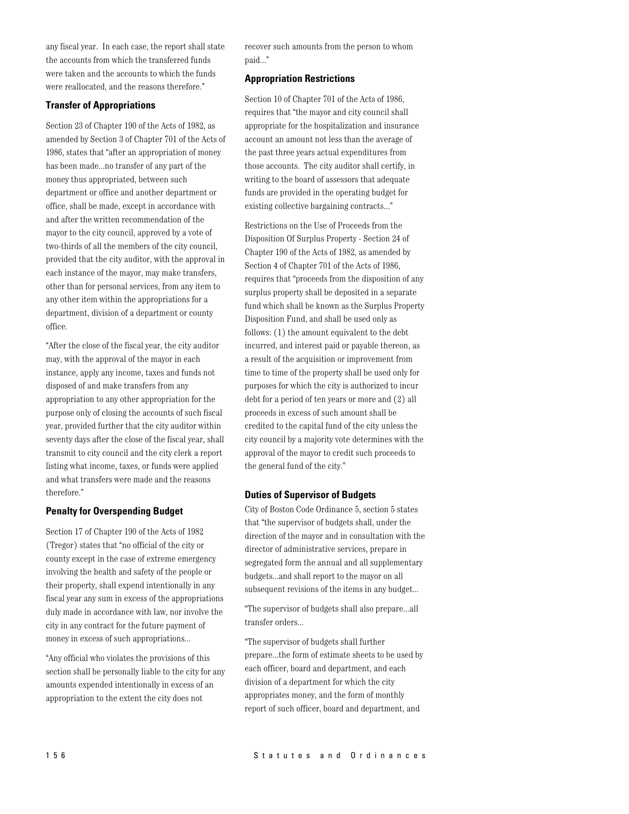any fiscal year. In each case, the report shall state the accounts from which the transferred funds were taken and the accounts to which the funds were reallocated, and the reasons therefore."

# **Transfer of Appropriations**

Section 23 of Chapter 190 of the Acts of 1982, as amended by Section 3 of Chapter 701 of the Acts of 1986, states that "after an appropriation of money has been made...no transfer of any part of the money thus appropriated, between such department or office and another department or office, shall be made, except in accordance with and after the written recommendation of the mayor to the city council, approved by a vote of two-thirds of all the members of the city council, provided that the city auditor, with the approval in each instance of the mayor, may make transfers, other than for personal services, from any item to any other item within the appropriations for a department, division of a department or county office.

"After the close of the fiscal year, the city auditor" may, with the approval of the mayor in each instance, apply any income, taxes and funds not disposed of and make transfers from any appropriation to any other appropriation for the purpose only of closing the accounts of such fiscal year, provided further that the city auditor within seventy days after the close of the fiscal year, shall transmit to city council and the city clerk a report listing what income, taxes, or funds were applied and what transfers were made and the reasons therefore."

# **Penalty for Overspending Budget**

Section 17 of Chapter 190 of the Acts of 1982 (Tregor) states that "no official of the city or county except in the case of extreme emergency involving the health and safety of the people or their property, shall expend intentionally in any fiscal year any sum in excess of the appropriations duly made in accordance with law, nor involve the city in any contract for the future payment of money in excess of such appropriations...

"Any official who violates the provisions of this section shall be personally liable to the city for any amounts expended intentionally in excess of an appropriation to the extent the city does not

recover such amounts from the person to whom paid..."

# **Appropriation Restrictions**

Section 10 of Chapter 701 of the Acts of 1986, requires that "the mayor and city council shall appropriate for the hospitalization and insurance account an amount not less than the average of the past three years actual expenditures from those accounts. The city auditor shall certify, in writing to the board of assessors that adequate funds are provided in the operating budget for existing collective bargaining contracts..."

Restrictions on the Use of Proceeds from the Disposition Of Surplus Property - Section 24 of Chapter 190 of the Acts of 1982, as amended by Section 4 of Chapter 701 of the Acts of 1986, requires that "proceeds from the disposition of any surplus property shall be deposited in a separate fund which shall be known as the Surplus Property Disposition Fund, and shall be used only as follows: (1) the amount equivalent to the debt incurred, and interest paid or payable thereon, as a result of the acquisition or improvement from time to time of the property shall be used only for purposes for which the city is authorized to incur debt for a period of ten years or more and (2) all proceeds in excess of such amount shall be credited to the capital fund of the city unless the city council by a majority vote determines with the approval of the mayor to credit such proceeds to the general fund of the city."

# **Duties of Supervisor of Budgets**

City of Boston Code Ordinance 5, section 5 states that "the supervisor of budgets shall, under the direction of the mayor and in consultation with the director of administrative services, prepare in segregated form the annual and all supplementary budgets...and shall report to the mayor on all subsequent revisions of the items in any budget...

"The supervisor of budgets shall also prepare...all transfer orders...

"The supervisor of budgets shall further prepare...the form of estimate sheets to be used by each officer, board and department, and each division of a department for which the city appropriates money, and the form of monthly report of such officer, board and department, and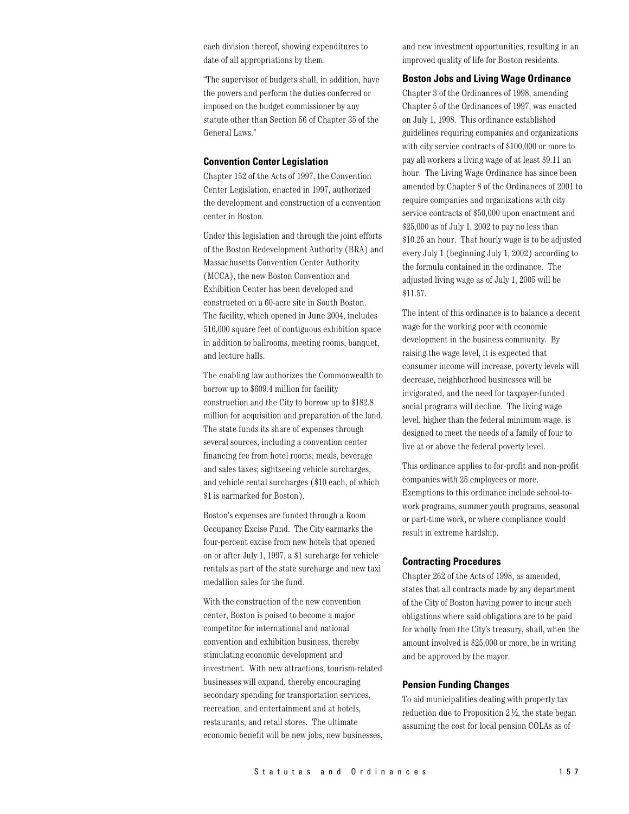each division thereof, showing expenditures to date of all appropriations by them.

"The supervisor of budgets shall, in addition, have the powers and perform the duties conferred or imposed on the budget commissioner by any statute other than Section 56 of Chapter 35 of the General Laws."

#### **Convention Center Legislation**

Chapter 152 of the Acts of 1997, the Convention Center Legislation, enacted in 1997, authorized the development and construction of a convention center in Boston.

Under this legislation and through the joint efforts of the Boston Redevelopment Authority (BRA) and Massachusetts Convention Center Authority (MCCA), the new Boston Convention and Exhibition Center has been developed and constructed on a 60-acre site in South Boston. The facility, which opened in June 2004, includes 516,000 square feet of contiguous exhibition space in addition to ballrooms, meeting rooms, banquet, and lecture halls.

The enabling law authorizes the Commonwealth to borrow up to \$609.4 million for facility construction and the City to borrow up to \$182.8 million for acquisition and preparation of the land. The state funds its share of expenses through several sources, including a convention center financing fee from hotel rooms; meals, beverage and sales taxes; sightseeing vehicle surcharges, and vehicle rental surcharges (\$10 each, of which \$1 is earmarked for Boston).

Boston's expenses are funded through a Room Occupancy Excise Fund. The City earmarks the four-percent excise from new hotels that opened on or after July 1, 1997, a \$1 surcharge for vehicle rentals as part of the state surcharge and new taxi medallion sales for the fund.

With the construction of the new convention center, Boston is poised to become a major competitor for international and national convention and exhibition business, thereby stimulating economic development and investment. With new attractions, tourism-related businesses will expand, thereby encouraging secondary spending for transportation services, recreation, and entertainment and at hotels, restaurants, and retail stores. The ultimate economic benefit will be new jobs, new businesses, and new investment opportunities, resulting in an improved quality of life for Boston residents.

#### **Boston Jobs and Living Wage Ordinance**

Chapter 3 of the Ordinances of 1998, amending Chapter 5 of the Ordinances of 1997, was enacted on July 1, 1998. This ordinance established guidelines requiring companies and organizations with city service contracts of \$100,000 or more to pay all workers a living wage of at least \$9.11 an hour. The Living Wage Ordinance has since been amended by Chapter 8 of the Ordinances of 2001 to require companies and organizations with city service contracts of \$50,000 upon enactment and \$25,000 as of July 1, 2002 to pay no less than \$10.25 an hour. That hourly wage is to be adjusted every July 1 (beginning July 1, 2002) according to the formula contained in the ordinance. The adjusted living wage as of July 1, 2005 will be  $$11.57.$ 

The intent of this ordinance is to balance a decent wage for the working poor with economic development in the business community. By raising the wage level, it is expected that consumer income will increase, poverty levels will decrease, neighborhood businesses will be invigorated, and the need for taxpayer-funded social programs will decline. The living wage level, higher than the federal minimum wage, is designed to meet the needs of a family of four to live at or above the federal poverty level.

This ordinance applies to for-profit and non-profit companies with 25 employees or more. Exemptions to this ordinance include school-towork programs, summer youth programs, seasonal or part-time work, or where compliance would result in extreme hardship.

#### **Contracting Procedures**

Chapter 262 of the Acts of 1998, as amended, states that all contracts made by any department of the City of Boston having power to incur such obligations where said obligations are to be paid for wholly from the City's treasury, shall, when the amount involved is \$25,000 or more, be in writing and be approved by the mayor.

#### **Pension Funding Changes**

To aid municipalities dealing with property tax reduction due to Proposition 2 ½, the state began assuming the cost for local pension COLAs as of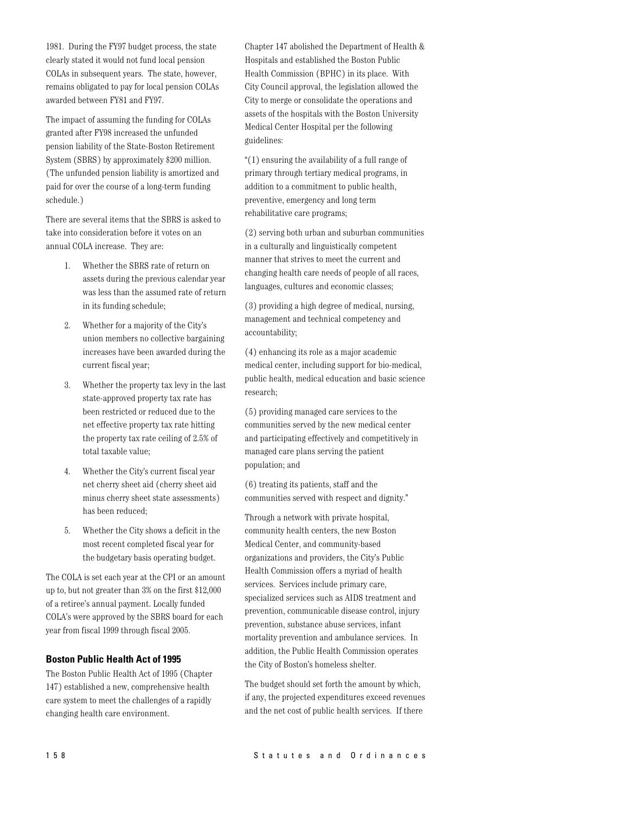1981. During the FY97 budget process, the state clearly stated it would not fund local pension COLAs in subsequent years. The state, however, remains obligated to pay for local pension COLAs awarded between FY81 and FY97.

The impact of assuming the funding for COLAs granted after FY98 increased the unfunded pension liability of the State-Boston Retirement System (SBRS) by approximately \$200 million. (The unfunded pension liability is amortized and paid for over the course of a long-term funding schedule.)

There are several items that the SBRS is asked to take into consideration before it votes on an annual COLA increase. They are:

- Whether the SBRS rate of return on  $1.$ assets during the previous calendar year was less than the assumed rate of return in its funding schedule;
- 2. Whether for a majority of the City's union members no collective bargaining increases have been awarded during the current fiscal year;
- $3.$ Whether the property tax levy in the last state-approved property tax rate has been restricted or reduced due to the net effective property tax rate hitting the property tax rate ceiling of 2.5% of total taxable value;
- 4. Whether the City's current fiscal year net cherry sheet aid (cherry sheet aid minus cherry sheet state assessments) has been reduced:
- 5. Whether the City shows a deficit in the most recent completed fiscal year for the budgetary basis operating budget.

The COLA is set each year at the CPI or an amount up to, but not greater than 3% on the first \$12,000 of a retiree's annual payment. Locally funded COLA's were approved by the SBRS board for each year from fiscal 1999 through fiscal 2005.

# **Boston Public Health Act of 1995**

The Boston Public Health Act of 1995 (Chapter 147) established a new, comprehensive health care system to meet the challenges of a rapidly changing health care environment.

Chapter 147 abolished the Department of Health & Hospitals and established the Boston Public Health Commission (BPHC) in its place. With City Council approval, the legislation allowed the City to merge or consolidate the operations and assets of the hospitals with the Boston University Medical Center Hospital per the following guidelines:

"(1) ensuring the availability of a full range of primary through tertiary medical programs, in addition to a commitment to public health, preventive, emergency and long term rehabilitative care programs;

(2) serving both urban and suburban communities in a culturally and linguistically competent manner that strives to meet the current and changing health care needs of people of all races, languages, cultures and economic classes;

(3) providing a high degree of medical, nursing, management and technical competency and accountability;

(4) enhancing its role as a major academic medical center, including support for bio-medical, public health, medical education and basic science research;

(5) providing managed care services to the communities served by the new medical center and participating effectively and competitively in managed care plans serving the patient population; and

(6) treating its patients, staff and the communities served with respect and dignity."

Through a network with private hospital, community health centers, the new Boston Medical Center, and community-based organizations and providers, the City's Public Health Commission offers a myriad of health services. Services include primary care, specialized services such as AIDS treatment and prevention, communicable disease control, injury prevention, substance abuse services, infant mortality prevention and ambulance services. In addition, the Public Health Commission operates the City of Boston's homeless shelter.

The budget should set forth the amount by which, if any, the projected expenditures exceed revenues and the net cost of public health services. If there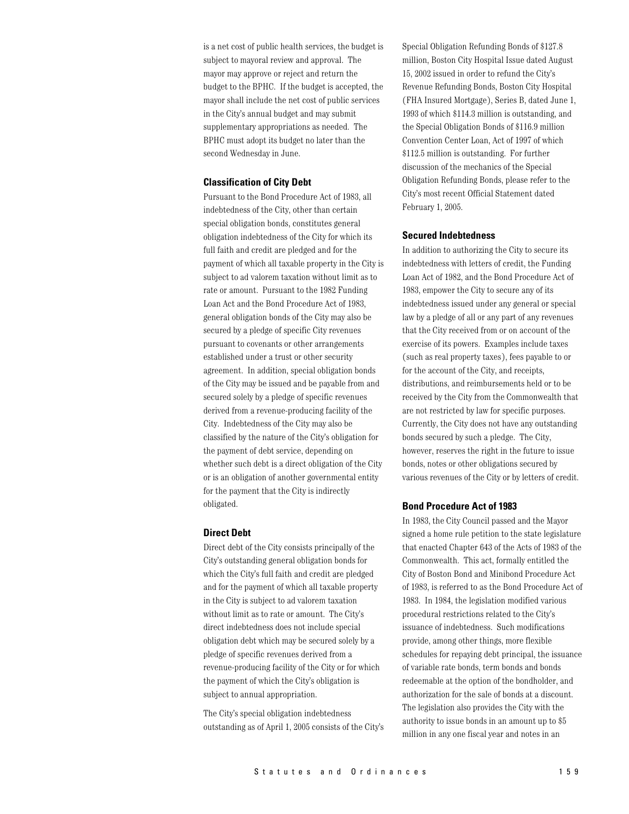is a net cost of public health services, the budget is subject to mayoral review and approval. The mayor may approve or reject and return the budget to the BPHC. If the budget is accepted, the mayor shall include the net cost of public services in the City's annual budget and may submit supplementary appropriations as needed. The BPHC must adopt its budget no later than the second Wednesday in June.

#### **Classification of City Debt**

Pursuant to the Bond Procedure Act of 1983, all indebtedness of the City, other than certain special obligation bonds, constitutes general obligation indebtedness of the City for which its full faith and credit are pledged and for the payment of which all taxable property in the City is subject to ad valorem taxation without limit as to rate or amount. Pursuant to the 1982 Funding Loan Act and the Bond Procedure Act of 1983, general obligation bonds of the City may also be secured by a pledge of specific City revenues pursuant to covenants or other arrangements established under a trust or other security agreement. In addition, special obligation bonds of the City may be issued and be payable from and secured solely by a pledge of specific revenues derived from a revenue-producing facility of the City. Indebtedness of the City may also be classified by the nature of the City's obligation for the payment of debt service, depending on whether such debt is a direct obligation of the City or is an obligation of another governmental entity for the payment that the City is indirectly obligated.

## **Direct Debt**

Direct debt of the City consists principally of the City's outstanding general obligation bonds for which the City's full faith and credit are pledged and for the payment of which all taxable property in the City is subject to ad valorem taxation without limit as to rate or amount. The City's direct indebtedness does not include special obligation debt which may be secured solely by a pledge of specific revenues derived from a revenue-producing facility of the City or for which the payment of which the City's obligation is subject to annual appropriation.

The City's special obligation indebtedness outstanding as of April 1, 2005 consists of the City's Special Obligation Refunding Bonds of \$127.8 million, Boston City Hospital Issue dated August 15, 2002 issued in order to refund the City's Revenue Refunding Bonds, Boston City Hospital (FHA Insured Mortgage), Series B, dated June 1, 1993 of which \$114.3 million is outstanding, and the Special Obligation Bonds of \$116.9 million Convention Center Loan, Act of 1997 of which \$112.5 million is outstanding. For further discussion of the mechanics of the Special Obligation Refunding Bonds, please refer to the City's most recent Official Statement dated February 1, 2005.

#### **Secured Indebtedness**

In addition to authorizing the City to secure its indebtedness with letters of credit, the Funding Loan Act of 1982, and the Bond Procedure Act of 1983, empower the City to secure any of its indebtedness issued under any general or special law by a pledge of all or any part of any revenues that the City received from or on account of the exercise of its powers. Examples include taxes (such as real property taxes), fees payable to or for the account of the City, and receipts, distributions, and reimbursements held or to be received by the City from the Commonwealth that are not restricted by law for specific purposes. Currently, the City does not have any outstanding bonds secured by such a pledge. The City, however, reserves the right in the future to issue bonds, notes or other obligations secured by various revenues of the City or by letters of credit.

## **Bond Procedure Act of 1983**

In 1983, the City Council passed and the Mayor signed a home rule petition to the state legislature that enacted Chapter 643 of the Acts of 1983 of the Commonwealth. This act, formally entitled the City of Boston Bond and Minibond Procedure Act of 1983, is referred to as the Bond Procedure Act of 1983. In 1984, the legislation modified various procedural restrictions related to the City's issuance of indebtedness. Such modifications provide, among other things, more flexible schedules for repaying debt principal, the issuance of variable rate bonds, term bonds and bonds redeemable at the option of the bondholder, and authorization for the sale of bonds at a discount. The legislation also provides the City with the authority to issue bonds in an amount up to \$5 million in any one fiscal year and notes in an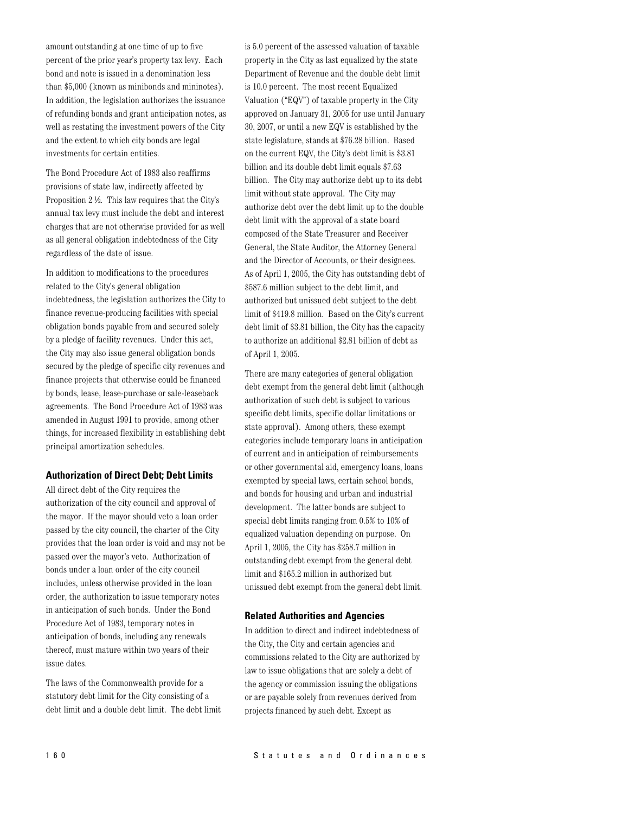amount outstanding at one time of up to five percent of the prior year's property tax levy. Each bond and note is issued in a denomination less than \$5,000 (known as minibonds and mininotes). In addition, the legislation authorizes the issuance of refunding bonds and grant anticipation notes, as well as restating the investment powers of the City and the extent to which city bonds are legal investments for certain entities.

The Bond Procedure Act of 1983 also reaffirms provisions of state law, indirectly affected by Proposition 2 ½. This law requires that the City's annual tax levy must include the debt and interest charges that are not otherwise provided for as well as all general obligation indebtedness of the City regardless of the date of issue.

In addition to modifications to the procedures related to the City's general obligation indebtedness, the legislation authorizes the City to finance revenue-producing facilities with special obligation bonds payable from and secured solely by a pledge of facility revenues. Under this act, the City may also issue general obligation bonds secured by the pledge of specific city revenues and finance projects that otherwise could be financed by bonds, lease, lease-purchase or sale-leaseback agreements. The Bond Procedure Act of 1983 was amended in August 1991 to provide, among other things, for increased flexibility in establishing debt principal amortization schedules.

## **Authorization of Direct Debt; Debt Limits**

All direct debt of the City requires the authorization of the city council and approval of the mayor. If the mayor should veto a loan order passed by the city council, the charter of the City provides that the loan order is void and may not be passed over the mayor's veto. Authorization of bonds under a loan order of the city council includes, unless otherwise provided in the loan order, the authorization to issue temporary notes in anticipation of such bonds. Under the Bond Procedure Act of 1983, temporary notes in anticipation of bonds, including any renewals thereof, must mature within two years of their issue dates.

The laws of the Commonwealth provide for a statutory debt limit for the City consisting of a debt limit and a double debt limit. The debt limit is 5.0 percent of the assessed valuation of taxable property in the City as last equalized by the state Department of Revenue and the double debt limit is 10.0 percent. The most recent Equalized Valuation ("EQV") of taxable property in the City approved on January 31, 2005 for use until January 30, 2007, or until a new EQV is established by the state legislature, stands at \$76.28 billion. Based on the current EQV, the City's debt limit is \$3.81 billion and its double debt limit equals \$7.63 billion. The City may authorize debt up to its debt limit without state approval. The City may authorize debt over the debt limit up to the double debt limit with the approval of a state board composed of the State Treasurer and Receiver General, the State Auditor, the Attorney General and the Director of Accounts, or their designees. As of April 1, 2005, the City has outstanding debt of \$587.6 million subject to the debt limit, and authorized but unissued debt subject to the debt limit of \$419.8 million. Based on the City's current debt limit of \$3.81 billion, the City has the capacity to authorize an additional \$2.81 billion of debt as of April 1, 2005.

There are many categories of general obligation debt exempt from the general debt limit (although authorization of such debt is subject to various specific debt limits, specific dollar limitations or state approval). Among others, these exempt categories include temporary loans in anticipation of current and in anticipation of reimbursements or other governmental aid, emergency loans, loans exempted by special laws, certain school bonds, and bonds for housing and urban and industrial development. The latter bonds are subject to special debt limits ranging from 0.5% to 10% of equalized valuation depending on purpose. On April 1, 2005, the City has \$258.7 million in outstanding debt exempt from the general debt limit and \$165.2 million in authorized but unissued debt exempt from the general debt limit.

#### **Related Authorities and Agencies**

In addition to direct and indirect indebtedness of the City, the City and certain agencies and commissions related to the City are authorized by law to issue obligations that are solely a debt of the agency or commission issuing the obligations or are payable solely from revenues derived from projects financed by such debt. Except as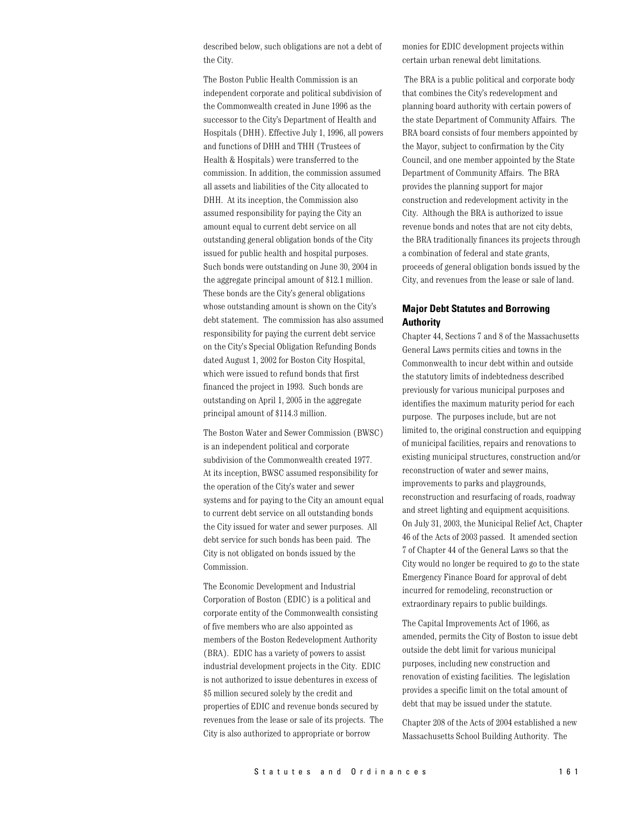described below, such obligations are not a debt of the City.

The Boston Public Health Commission is an independent corporate and political subdivision of the Commonwealth created in June 1996 as the successor to the City's Department of Health and Hospitals (DHH). Effective July 1, 1996, all powers and functions of DHH and THH (Trustees of Health & Hospitals) were transferred to the commission. In addition, the commission assumed all assets and liabilities of the City allocated to DHH. At its inception, the Commission also assumed responsibility for paying the City an amount equal to current debt service on all outstanding general obligation bonds of the City issued for public health and hospital purposes. Such bonds were outstanding on June 30, 2004 in the aggregate principal amount of \$12.1 million. These bonds are the City's general obligations whose outstanding amount is shown on the City's debt statement. The commission has also assumed responsibility for paying the current debt service on the City's Special Obligation Refunding Bonds dated August 1, 2002 for Boston City Hospital, which were issued to refund bonds that first financed the project in 1993. Such bonds are outstanding on April 1, 2005 in the aggregate principal amount of \$114.3 million.

The Boston Water and Sewer Commission (BWSC) is an independent political and corporate subdivision of the Commonwealth created 1977. At its inception, BWSC assumed responsibility for the operation of the City's water and sewer systems and for paying to the City an amount equal to current debt service on all outstanding bonds the City issued for water and sewer purposes. All debt service for such bonds has been paid. The City is not obligated on bonds issued by the Commission.

The Economic Development and Industrial Corporation of Boston (EDIC) is a political and corporate entity of the Commonwealth consisting of five members who are also appointed as members of the Boston Redevelopment Authority (BRA). EDIC has a variety of powers to assist industrial development projects in the City. EDIC is not authorized to issue debentures in excess of \$5 million secured solely by the credit and properties of EDIC and revenue bonds secured by revenues from the lease or sale of its projects. The City is also authorized to appropriate or borrow

monies for EDIC development projects within certain urban renewal debt limitations.

The BRA is a public political and corporate body that combines the City's redevelopment and planning board authority with certain powers of the state Department of Community Affairs. The BRA board consists of four members appointed by the Mayor, subject to confirmation by the City Council, and one member appointed by the State Department of Community Affairs. The BRA provides the planning support for major construction and redevelopment activity in the City. Although the BRA is authorized to issue revenue bonds and notes that are not city debts, the BRA traditionally finances its projects through a combination of federal and state grants, proceeds of general obligation bonds issued by the City, and revenues from the lease or sale of land.

# **Major Debt Statutes and Borrowing Authority**

Chapter 44, Sections 7 and 8 of the Massachusetts General Laws permits cities and towns in the Commonwealth to incur debt within and outside the statutory limits of indebtedness described previously for various municipal purposes and identifies the maximum maturity period for each purpose. The purposes include, but are not limited to, the original construction and equipping of municipal facilities, repairs and renovations to existing municipal structures, construction and/or reconstruction of water and sewer mains, improvements to parks and playgrounds, reconstruction and resurfacing of roads, roadway and street lighting and equipment acquisitions. On July 31, 2003, the Municipal Relief Act, Chapter 46 of the Acts of 2003 passed. It amended section 7 of Chapter 44 of the General Laws so that the City would no longer be required to go to the state Emergency Finance Board for approval of debt incurred for remodeling, reconstruction or extraordinary repairs to public buildings.

The Capital Improvements Act of 1966, as amended, permits the City of Boston to issue debt outside the debt limit for various municipal purposes, including new construction and renovation of existing facilities. The legislation provides a specific limit on the total amount of debt that may be issued under the statute.

Chapter 208 of the Acts of 2004 established a new Massachusetts School Building Authority. The